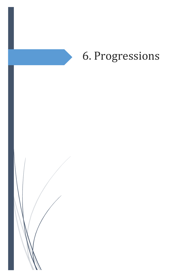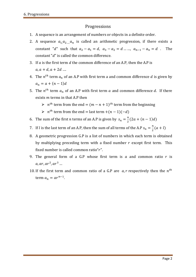## Progressions

- 1. A sequence is an arrangement of numbers or objects in a definite order.
- 2. A sequence  $a_1, a_2, \ldots, a_n$  is called an arithmetic progression, if there exists a constant "d" such that  $a_2 - a_1 = d$ ,  $a_3 - a_2 = d$  ...,  $a_{n-1} - a_n = d$ . The constant " $d$ " is called the common difference.
- 3. If  $a$  is the first term  $d$  the common difference of an A.P, then the A.P is  $a, a + d, a + 2d$  ....
- 4. The  $n^{th}$  term  $a_n$  of an A.P with first term a and common difference d is given by  $a_n = a + (n-1)d$
- 5. The  $n^{th}$  term  $a_n$  of an A.P with first term a and common difference d. If there exixts  $m$  terms in that A.P then
	- $\triangleright$   $n^{th}$  term from the end =  $(m n + 1)^{th}$  term from the beginning
	- $\triangleright$   $n^{th}$  term from the end = last term
- 6. The sum of the first *n* terms of an A.P is given by  $s_n = \frac{n}{3}$  $\frac{n}{2}$  (
- 7. If *l* is the last term of an A.P, then the sum of all terms of the A.P  $s_n = \frac{n}{2}$  $\frac{n}{2}$  (
- 8. A geometric progression G.P is a list of numbers in which each term is obtained by multiplying preceding term with a fixed number  $r$  except first term. This fixed number is called common ratio " $r$ ".
- 9. The general form of a G.P whose first term is  $\alpha$  and common ratio  $r$  is  $a, ar, ar<sup>2</sup>, ar<sup>3</sup>$
- 10. If the first term and common ratio of a G.P are  $a, r$  respectively then the  $n<sup>t</sup>$ term  $a_n = ar^{n-1}$ .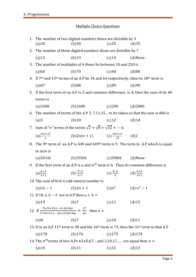## Multiple Choice Questions

| (a)20                                                                                                                        | (b)30     | (c)25                                                                                                                                             | (d)35                                                                                                                                                                                                                                                                                                                                                                                                                                                                                                                                                                                                                                                                                                                                                                                                                                           |  |  |  |
|------------------------------------------------------------------------------------------------------------------------------|-----------|---------------------------------------------------------------------------------------------------------------------------------------------------|-------------------------------------------------------------------------------------------------------------------------------------------------------------------------------------------------------------------------------------------------------------------------------------------------------------------------------------------------------------------------------------------------------------------------------------------------------------------------------------------------------------------------------------------------------------------------------------------------------------------------------------------------------------------------------------------------------------------------------------------------------------------------------------------------------------------------------------------------|--|--|--|
| 2. The number of three digited numbers those are divisible by 7                                                              |           |                                                                                                                                                   |                                                                                                                                                                                                                                                                                                                                                                                                                                                                                                                                                                                                                                                                                                                                                                                                                                                 |  |  |  |
| $(a)$ 12                                                                                                                     | (b)13     |                                                                                                                                                   |                                                                                                                                                                                                                                                                                                                                                                                                                                                                                                                                                                                                                                                                                                                                                                                                                                                 |  |  |  |
| 3. The number of multiples of 4 those lie between 10 and 250 is                                                              |           |                                                                                                                                                   |                                                                                                                                                                                                                                                                                                                                                                                                                                                                                                                                                                                                                                                                                                                                                                                                                                                 |  |  |  |
| (a)60                                                                                                                        | (b)70     | (c)40                                                                                                                                             | (d)80                                                                                                                                                                                                                                                                                                                                                                                                                                                                                                                                                                                                                                                                                                                                                                                                                                           |  |  |  |
|                                                                                                                              |           |                                                                                                                                                   |                                                                                                                                                                                                                                                                                                                                                                                                                                                                                                                                                                                                                                                                                                                                                                                                                                                 |  |  |  |
| (a)87                                                                                                                        | (b)88     |                                                                                                                                                   |                                                                                                                                                                                                                                                                                                                                                                                                                                                                                                                                                                                                                                                                                                                                                                                                                                                 |  |  |  |
| 5. If the first term of an A.P is 2 and common difference is 4, then the sum of its 40                                       |           |                                                                                                                                                   |                                                                                                                                                                                                                                                                                                                                                                                                                                                                                                                                                                                                                                                                                                                                                                                                                                                 |  |  |  |
| terms is                                                                                                                     |           |                                                                                                                                                   |                                                                                                                                                                                                                                                                                                                                                                                                                                                                                                                                                                                                                                                                                                                                                                                                                                                 |  |  |  |
| (a)3200                                                                                                                      |           |                                                                                                                                                   |                                                                                                                                                                                                                                                                                                                                                                                                                                                                                                                                                                                                                                                                                                                                                                                                                                                 |  |  |  |
|                                                                                                                              |           |                                                                                                                                                   |                                                                                                                                                                                                                                                                                                                                                                                                                                                                                                                                                                                                                                                                                                                                                                                                                                                 |  |  |  |
| (a)5                                                                                                                         | (b)10     |                                                                                                                                                   |                                                                                                                                                                                                                                                                                                                                                                                                                                                                                                                                                                                                                                                                                                                                                                                                                                                 |  |  |  |
| 7. Sum of " <i>n</i> " terms of the series $\sqrt{2} + \sqrt{8} + \sqrt{32} + \cdots$ is                                     |           |                                                                                                                                                   |                                                                                                                                                                                                                                                                                                                                                                                                                                                                                                                                                                                                                                                                                                                                                                                                                                                 |  |  |  |
|                                                                                                                              |           |                                                                                                                                                   |                                                                                                                                                                                                                                                                                                                                                                                                                                                                                                                                                                                                                                                                                                                                                                                                                                                 |  |  |  |
|                                                                                                                              |           |                                                                                                                                                   |                                                                                                                                                                                                                                                                                                                                                                                                                                                                                                                                                                                                                                                                                                                                                                                                                                                 |  |  |  |
| to zero is                                                                                                                   |           |                                                                                                                                                   |                                                                                                                                                                                                                                                                                                                                                                                                                                                                                                                                                                                                                                                                                                                                                                                                                                                 |  |  |  |
| $(a)$ 501th                                                                                                                  |           |                                                                                                                                                   |                                                                                                                                                                                                                                                                                                                                                                                                                                                                                                                                                                                                                                                                                                                                                                                                                                                 |  |  |  |
| 9. If the first term of an A.P is $a$ and $n^{th}$ term is b. Then its common difference is                                  |           |                                                                                                                                                   |                                                                                                                                                                                                                                                                                                                                                                                                                                                                                                                                                                                                                                                                                                                                                                                                                                                 |  |  |  |
| $(a)_{n+1}^{b-a}$                                                                                                            |           |                                                                                                                                                   |                                                                                                                                                                                                                                                                                                                                                                                                                                                                                                                                                                                                                                                                                                                                                                                                                                                 |  |  |  |
| 10. The sum of first $n$ odd natural number is                                                                               |           |                                                                                                                                                   |                                                                                                                                                                                                                                                                                                                                                                                                                                                                                                                                                                                                                                                                                                                                                                                                                                                 |  |  |  |
|                                                                                                                              |           |                                                                                                                                                   |                                                                                                                                                                                                                                                                                                                                                                                                                                                                                                                                                                                                                                                                                                                                                                                                                                                 |  |  |  |
|                                                                                                                              |           |                                                                                                                                                   |                                                                                                                                                                                                                                                                                                                                                                                                                                                                                                                                                                                                                                                                                                                                                                                                                                                 |  |  |  |
| $(a)$ 19                                                                                                                     | (b)7      | $(c)$ 11                                                                                                                                          | $(d)$ 15                                                                                                                                                                                                                                                                                                                                                                                                                                                                                                                                                                                                                                                                                                                                                                                                                                        |  |  |  |
|                                                                                                                              |           |                                                                                                                                                   |                                                                                                                                                                                                                                                                                                                                                                                                                                                                                                                                                                                                                                                                                                                                                                                                                                                 |  |  |  |
| (a)8                                                                                                                         | (b)7      |                                                                                                                                                   |                                                                                                                                                                                                                                                                                                                                                                                                                                                                                                                                                                                                                                                                                                                                                                                                                                                 |  |  |  |
| 13. If in an A.P 11 <sup>th</sup> term is 38 and the 16 <sup>th</sup> term is 73, then the 31 <sup>st</sup> term in that A.P |           |                                                                                                                                                   |                                                                                                                                                                                                                                                                                                                                                                                                                                                                                                                                                                                                                                                                                                                                                                                                                                                 |  |  |  |
| (a) 178                                                                                                                      | $(b)$ 176 |                                                                                                                                                   |                                                                                                                                                                                                                                                                                                                                                                                                                                                                                                                                                                                                                                                                                                                                                                                                                                                 |  |  |  |
|                                                                                                                              |           |                                                                                                                                                   |                                                                                                                                                                                                                                                                                                                                                                                                                                                                                                                                                                                                                                                                                                                                                                                                                                                 |  |  |  |
| $(a)$ 10                                                                                                                     | (b)11     | $(c)$ 12                                                                                                                                          | $(d)$ 13                                                                                                                                                                                                                                                                                                                                                                                                                                                                                                                                                                                                                                                                                                                                                                                                                                        |  |  |  |
|                                                                                                                              |           | 11. If 18. $a, b, -3$ are in A.P then $a + b =$<br>12. If $\frac{5+9+13+n \text{ terms}}{7+9+11+ (n+1) \text{ terms}} = \frac{17}{16}$ then $n =$ | 1. The number of two digited numbers those are divisible by 3<br>$(c)$ 14 (d)None<br>4. If 7 <sup>th</sup> and 13 <sup>th</sup> terms of an A.P be 34 and 64 respectively, then its 18 <sup>th</sup> term is<br>$(c)89$ $(d)90$<br>(b) 1600 (c) 200 (d) 2800<br>6. The number of terms of the A.P 3, 7,11,15 to be taken so that the sum is 406 is<br>$(c)$ 12 $(d)$ 14<br>(a) $\frac{n(n+1)}{2}$ (b)2n(n+1) (c) $\frac{n(n+1)}{\sqrt{2}}$ (d)1<br>8. The 9 <sup>th</sup> term of an A.P is 449 and 449 <sup>th</sup> term is 9. The term in A.P which is equal<br>(b)502th $(c)$ 508th $(d)$ None<br>(b) $\frac{b-a}{n-1}$ (c) $\frac{b-a}{n}$ (d) $\frac{b+a}{n+1}$<br>(a) $2n-1$ (b) $2n+1$ (c) $n^2$ (d) $n^2-1$<br>$(c)$ 10 $(d)$ 11<br>$(c)$ 175 (d) 174<br>14. The $n^{th}$ terms of two A.Ps 63,65,67 and 3,10,17, are equal then $n =$ |  |  |  |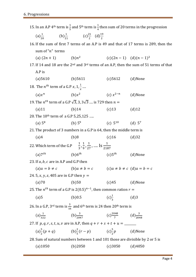| 15. In an A.P 4 <sup>th</sup> term is $\frac{1}{5}$ and 5 <sup>th</sup> term is $\frac{1}{4}$ then sum of 20 terms in the progression |                                                                               |                                                                             |  |                           |                                                                                            |
|---------------------------------------------------------------------------------------------------------------------------------------|-------------------------------------------------------------------------------|-----------------------------------------------------------------------------|--|---------------------------|--------------------------------------------------------------------------------------------|
|                                                                                                                                       |                                                                               | (a) $\frac{1}{20}$ (b) $\frac{1}{21}$ (c) $\frac{21}{2}$ (d) $\frac{19}{2}$ |  |                           |                                                                                            |
| 16. If the sum of first 7 terms of an A.P is 49 and that of 17 terms is 289, then the                                                 |                                                                               |                                                                             |  |                           |                                                                                            |
| sum of " $n$ " terms                                                                                                                  |                                                                               |                                                                             |  |                           |                                                                                            |
|                                                                                                                                       | (a) $(2n + 1)$ (b)n <sup>2</sup>                                              |                                                                             |  | $(c)(2n-1)$ $(d)(n-1)^2$  |                                                                                            |
|                                                                                                                                       |                                                                               |                                                                             |  |                           | 17. If 14 and 18 are the $2nd$ and $3rd$ terms of an A.P, then the sum of 51 terms of that |
| A.P is                                                                                                                                |                                                                               |                                                                             |  |                           |                                                                                            |
| (a) 5610                                                                                                                              | $(b)$ 5611                                                                    |                                                                             |  | $(c)$ 5612 (d)None        |                                                                                            |
| 18. The $n^{th}$ term of a G.P x, 1, $\frac{1}{r}$                                                                                    |                                                                               |                                                                             |  |                           |                                                                                            |
| $(a)x^n$                                                                                                                              |                                                                               | $(b)x^2$                                                                    |  | (c) $x^{2-n}$ (d)None     |                                                                                            |
| 19. The $n^{th}$ term of a G.P $\sqrt{3}$ , 3, 3 $\sqrt{3}$ is 729 then $n =$                                                         |                                                                               |                                                                             |  |                           |                                                                                            |
| (a)11                                                                                                                                 | (b)14                                                                         |                                                                             |  | $(c)$ 13                  | $(d)$ 12                                                                                   |
| 20. The 10 <sup>th</sup> term of a G.P 5,25,125                                                                                       |                                                                               |                                                                             |  |                           |                                                                                            |
| (a) $5^8$                                                                                                                             |                                                                               | (b) $5^9$                                                                   |  | (c) $5^{10}$ (d) $5^7$    |                                                                                            |
| 21. The product of 3 numbers in a G.P is 64, then the middle term is                                                                  |                                                                               |                                                                             |  |                           |                                                                                            |
| (a)4                                                                                                                                  | (b)8                                                                          |                                                                             |  | $(c)$ 16                  | (d)32                                                                                      |
| 22. Which term of the G.P $\frac{1}{3}, \frac{1}{9}, \frac{1}{27}, \dots$ Is $\frac{1}{2187}$                                         |                                                                               |                                                                             |  |                           |                                                                                            |
| $(a)7^{th}$                                                                                                                           |                                                                               |                                                                             |  | (b) $6^{th}$ (c) $5^{th}$ | (d)None                                                                                    |
| 23. If $a, b, c$ are in A.P and G.P then                                                                                              |                                                                               |                                                                             |  |                           |                                                                                            |
|                                                                                                                                       | (a) $a = b \neq c$ (b) $a \neq b = c$ (c) $a \neq b \neq c$ (d) $a = b = c$   |                                                                             |  |                           |                                                                                            |
| 24. 5, x, y, z, 405 are in G.P then $y =$                                                                                             |                                                                               |                                                                             |  |                           |                                                                                            |
| (a)70                                                                                                                                 | (b)50                                                                         |                                                                             |  | (c)45                     | (d)None                                                                                    |
| 25. The $n^{th}$ term of a G.P is $2(0.5)^{n-1}$ , then common ration $r =$                                                           |                                                                               |                                                                             |  |                           |                                                                                            |
| (a)5                                                                                                                                  | (b)0.5                                                                        |                                                                             |  | $(c) \frac{1}{2}$         | (d)3                                                                                       |
| 26. In a G.P, 3 <sup>rd</sup> term is $\frac{3}{16}$ and 6 <sup>th</sup> term is 24 then 20 <sup>th</sup> term is                     |                                                                               |                                                                             |  |                           |                                                                                            |
| $(a) \frac{1}{322}$                                                                                                                   | (b) $\frac{3}{2047}$ (c) $\frac{2048}{7}$ (d) $\frac{3}{2048}$                |                                                                             |  |                           |                                                                                            |
|                                                                                                                                       |                                                                               |                                                                             |  |                           |                                                                                            |
|                                                                                                                                       | (a) $\frac{5}{2}(p+q)$ (b) $\frac{2}{5}(r-p)$ (c) $\frac{5}{2}p$ (d)None      |                                                                             |  |                           |                                                                                            |
|                                                                                                                                       | 28. Sum of natural numbers between 1 and 101 those are divisible by 2 or 5 is |                                                                             |  |                           |                                                                                            |
| $(a)$ 1050                                                                                                                            | (b)2050                                                                       |                                                                             |  | (c)3050                   | (d)4050                                                                                    |